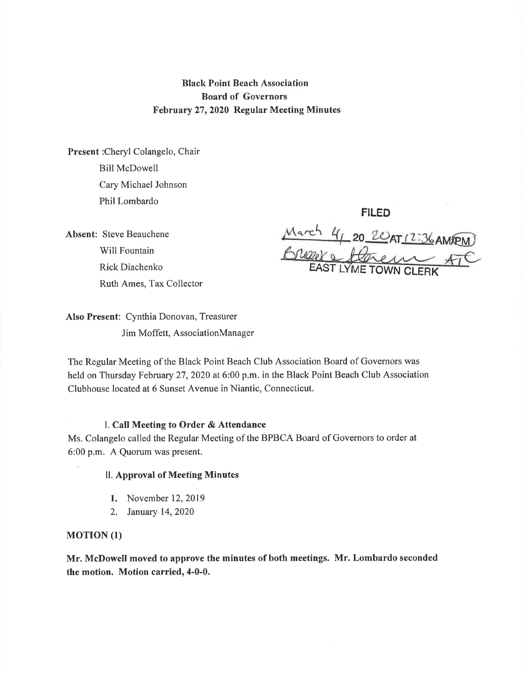# Black Point Beach Association Board of Governors February 27,2020 Regular Meeting Minutes

Present :Cheryl Colangelo, Chair Bill McDowell Cary Michael Johnson Phil Lombardo

Absent: Steve Beauchene Will Fountain Rick Diachenko Ruth Ames, Tax Collector

FILED  $\frac{4\pi}{4}$  20 20 AT 12:36 AMPEM EAST LYME TOWN CLERK

Also Present: Cynthia Donovan, Treasurer Jim Moffett, AssociationManager

The Regular Meeting of the Black Point Beach Club Association Board of Governors was held on Thursday February 27, 2020 at 6:00 p.m. in the Black Point Beach Club Association Clubhouse located at 6 Sunset Avenue in Niantic, Connecticut.

#### l. Call Meeting to Order & Attendance

Ms. Colangelo called the Regular Meeting of the BPBCA Board of Governors to order at 6:00 p.m. A Quorum was present.

## ll. Approval of Meeting Minutes

- 1. November 12,2019
- 2. January 14,2020

#### **MOTION** (1)

Mr. McDowell moved to approve the minutes of both meetings. Mr. Lombardo seconded the motion. Motion carried, 4-0-0.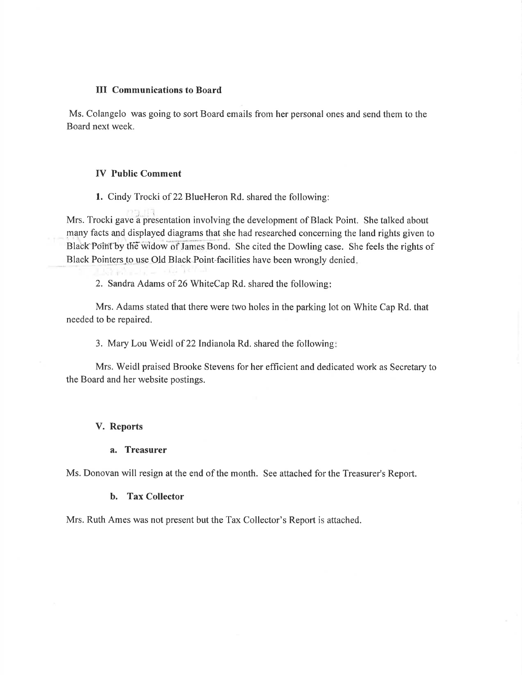#### III Communications to Board

Ms. Colangelo was going to sort Board emails from her personal ones and send them to the Board next week.

## IV Public Comment

1. Cindy Trocki of 22 BlueHeron Rd. shared the following:

Mrs. Trocki gave a presentation involving the development of Black Point. She talked about many facts and displayed diagrams that she had researched concerning the land rights given to Black Point by the widow of James Bond. She cited the Dowling case. She feels the rights of Black Pointers to use Old Black Point facilities have been wrongly denied

2. Sandra Adams of 26 WhiteCap Rd. shared the following

Mrs. Adams stated that there were two holes in the parking lot on White Cap Rd. that needed to be repaired.

3. Mary Lou Weidl of 22 Indianola Rd. shared the following:

Mrs. Weidl praised Brooke Stevens for her efficient and dedicated work as Secretary to the Board and her website postings.

#### V. Reports

#### a. Treasurer

Ms. Donovan will resign at the end of the month. See attached for the Treasurer's Report.

#### b. Tax Collector

Mrs. Ruth Ames was not present but the Tax Collector's Report is attached.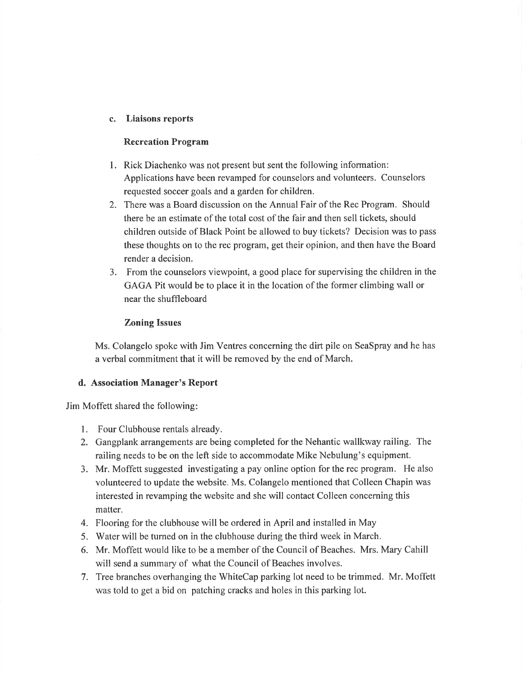## c. Liaisons reports

#### Recreation Program

- 1. Rick Diachenko was not present but sent the following information: Applications have been revamped for counselors and volunteers. Counselors requested soccer goals and a garden for children.
- 2. There was a Board discussion on the Annual Fair of the Rec Program. Should there be an estimate of the total cost of the fair and then sell tickets, should children outside of Black Point be allowed to buy tickets? Decision was to pass these thoughts on to the rec program, get their opinion, and then have the Board render a decision.
- 3. From the counselors viewpoint, a good place for supervising the children in the GAGA Pit would be to place it in the location of the former climbing wall or near the shuffleboard

## Zoning Issues

Ms. Colangelo spoke with Jim Ventres concerning the dirt pile on SeaSpray and he has <sup>a</sup>verbal commitment that it will be removed by the end of March.

## d. Association Manager's Report

Jim Moffett shared the following

- 1. Four Clubhouse rentals already.
- 2. Gangplank arrangements are being completed for the Nehantic wallkway railing. The railing needs to be on the left side to accommodate Mike Nebulung's equipment.
- 3. Mr. Moffett suggested investigating a pay online option for the rec program. He also volunteered to update the website. Ms. Colangelo mentioned that Colleen Chapin was interested in revamping the website and she will contact Colleen concerning this matter.
- 4. Flooring for the clubhouse will be ordered in April and installed in May
- 5. Water will be turned on in the clubhouse during the third week in March.
- 6. Mr. Moffett would like to be a member of the Council of Beaches. Mrs. Mary Cahill will send a summary of what the Council of Beaches involves.
- 7. Tree branches overhanging the WhiteCap parking lot need to be trimmed. Mr. Moffett was told to get a bid on patching cracks and holes in this parking lot.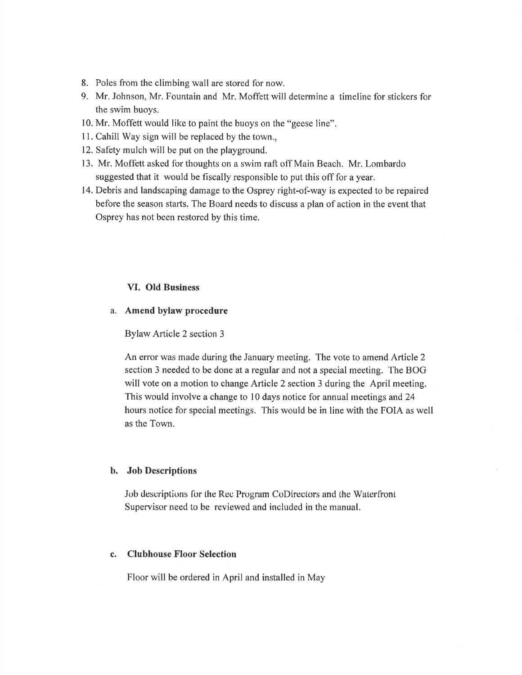- 8. Poles from the climbing wall are stored for now.
- 9. Mr. Johnson, Mr. Fountain and Mr. Moffett will determine a timeline for stickers for the swim buoys.
- 10. Mr. Moffett would like to paint the buoys on the "geese line".
- 11. Cahill Way sign will be replaced by the town.,
- 12. Safety mulch will be put on the playground,
- 13. Mr. Moffett asked for thoughts on a swim raft off Main Beach. Mr. Lombardo suggested that it would be fiscally responsible to put this off for a year.
- 14. Debris and landscaping damage to the Osprey right-of-way is expected to be repaired before the season starts. The Board needs to discuss a plan of action in the event that Osprey has not been restored by this time.

## VI. Old Business

#### a. Amend bylaw procedure

Bylaw Article 2 section 3

An error was made during the January meeting. The vote to amend Article 2 section 3 needed to be done at a regular and not a special meeting. The BOG will vote on a motion to change Article 2 section 3 during the April meeting. This would involve a change to 10 days notice for annual meetings and 24 hours notice for special meetings. This would be in line with the FOIA as well as the Town.

#### b. Job Descriptions

Jub descriptions for the Rec Program CoDirectors and the Waterfront. Supervisor need to be reviewed and included in the manual.

#### c. Clubhouse Floor Selection

Floor will be ordered in April and installed in May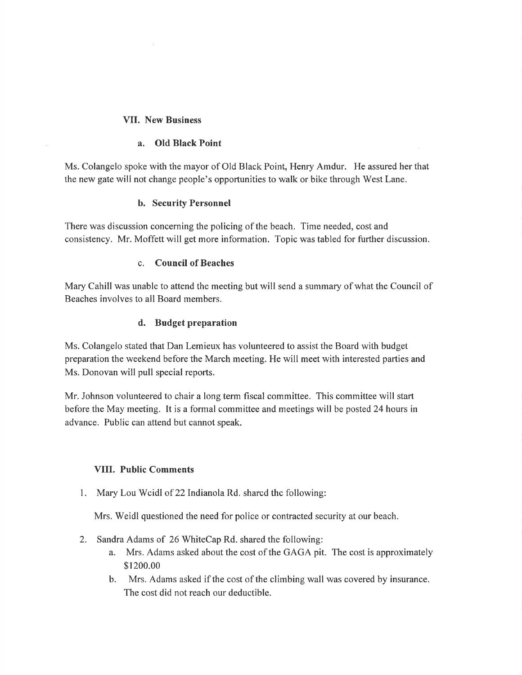## VII. New Business

## a. OId Black Point

Ms. Colangelo spoke with the mayor of Old Black Point, Henry Amdur. He assured her that the new gate will not change people's opportunities to walk or bike through West Lane.

## b. Security Personnel

There was discussion concerning the policing of the beach. Time needed, cost and consistency. Mr. Moffett will get more information. Topic was tabled for further discussion.

## c. Council of Beaches

Mary Cahill was unable to attend the meeting but will send a summary of what the Council of Beaches involves to all Board members.

## d. Budget preparation

Ms. Colangelo stated that Dan Lemieux has volunteered to assist the Board with budget preparation the weekend before the March meeting. He will meet with interested parties and Ms. Donovan will pull special reports.

Mr. Johnson volunteered to chair a long term fiscal committee. This committee will start before the May meeting. It is a formal committee and meetings will be posted 24 hours in advance. Public can attend but cannot speak.

## VIII. Public Comments

1. Mary Lou Weidl of 22 Indianola Rd. shared the following:

Mrs. Weidl questioned the need for police or contracted security at our beach.

- 2. Sandra Adams of 26 WhiteCap Rd. shared the following:
	- a. Mrs. Adams asked about the cost of the GAGA pit. The cost is approximately \$1200.00
	- b. Mrs. Adams asked if the cost of the climbing wall was covered by insurance. The cost did not reach our deductible.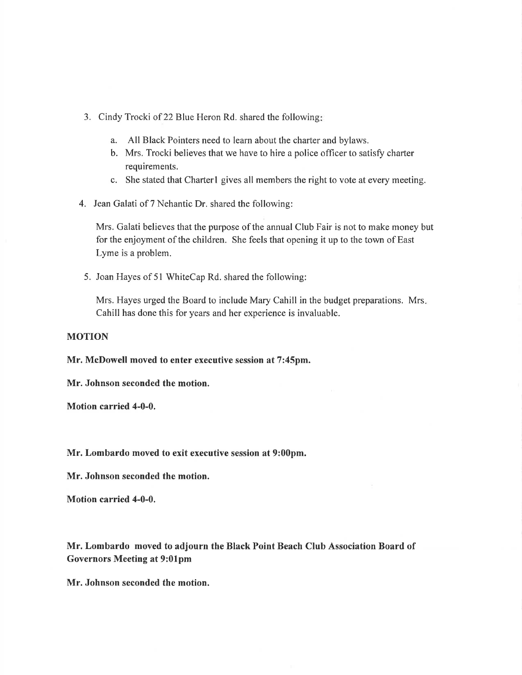- 3. Cindy Trocki of 22 Blue Heron Rd. shared the following
	- a. All Black Pointers need to learn about the charter and bylaws.
	- b. Mrs. Trocki believes that we have to hire a police officer to satisfy charter requirements.
	- c. She stated that Charterl gives all members the right to vote at every meeting.
- 4. Jean Galati of 7 Nehantic Dr. shared the following:

Mrs. Galati believes that the purpose of the annual Club Fair is not to make money but for the enjoyment of the children. She feels that opening it up to the town of East Lyme is a problem.

5. Joan Hayes of 5l WhiteCap Rd. shared the following:

Mrs. Hayes urged the Board to include Mary Cahill in the budget preparations. Mrs Cahill has done this for years and her experience is invaluable.

#### MOTION

Mr. McDowell moved to enter executive session at 7:45pm.

Mr. Johnson seconded the motion.

Motion carried 4-0-0.

Mr. Lombardo moved to exit executive session at 9:00pm.

Mr. Johnson seconded the motion.

Motion carried 4-0-0.

Mr. Lombardo moved to adjourn the Black Point Beach Club Association Board of Governors Meeting at 9:01pm

Mr. Johnson seconded the motion.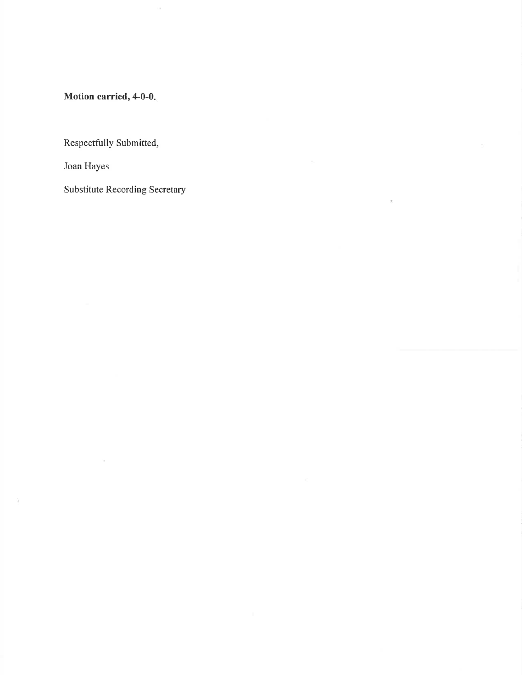Motion carried,  $4-0-0$ .

Respectfully Submitted,

Joan Hayes

ŭ.

Substitute Recording Secretary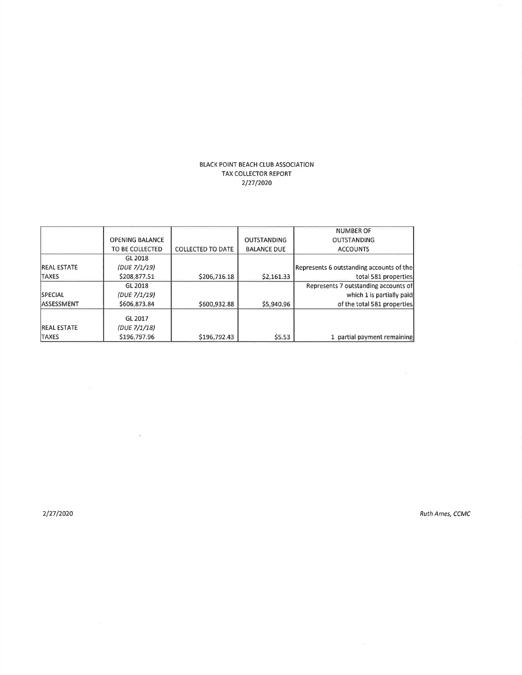#### BLACK POINT BEACH CLUB ASSOCIATION TAX COLLECTOR REPORT 2/27/2020

|                     |                        |                          |                    | <b>NUMBER OF</b>                         |
|---------------------|------------------------|--------------------------|--------------------|------------------------------------------|
|                     | <b>OPENING BALANCE</b> |                          | <b>OUTSTANDING</b> | <b>OUTSTANDING</b>                       |
|                     |                        |                          |                    |                                          |
|                     | TO BE COLLECTED        | <b>COLLECTED TO DATE</b> | <b>BALANCE DUE</b> | <b>ACCOUNTS</b>                          |
|                     | GL 2018                |                          |                    |                                          |
| <b>IREAL ESTATE</b> | (DUE 7/1/19)           |                          |                    | Represents 6 outstanding accounts of the |
| <b>TAXES</b>        | \$208,877.51           | \$206,716.18             | \$2,161.33         | total 581 properties                     |
|                     | GL 2018                |                          |                    | Represents 7 outstanding accounts of     |
| <b>SPECIAL</b>      | (DUE 7/1/19)           |                          |                    | which 1 is partially paid                |
| lassessment         | \$606,873.84           | \$600,932.88             | \$5,940.96         | of the total 581 properties              |
|                     | GL 2017                |                          |                    |                                          |
| <b>IREAL ESTATE</b> | (DUE 7/1/18)           |                          |                    |                                          |
| <b>TAXES</b>        | \$196,797.96           | \$196,792.43             | \$5.53             | 1 partial payment remaining              |

2/2712020 Ruth Ames, CCMC

 $\tilde{\mathcal{A}}$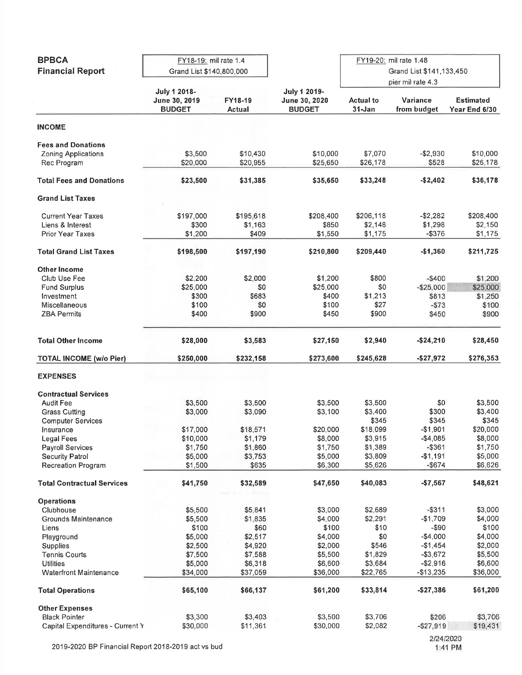|                                   | FY18-19: mil rate 1.4<br>Grand List \$140,800,000 |               |               |                          |                   |                  |  |
|-----------------------------------|---------------------------------------------------|---------------|---------------|--------------------------|-------------------|------------------|--|
| <b>BPBCA</b>                      |                                                   |               |               | FY19-20: mil rate 1.48   |                   |                  |  |
|                                   |                                                   |               |               |                          |                   |                  |  |
| <b>Financial Report</b>           |                                                   |               |               | Grand List \$141,133,450 |                   |                  |  |
|                                   |                                                   |               |               |                          | pier mil rate 4.3 |                  |  |
|                                   |                                                   |               |               |                          |                   |                  |  |
|                                   | <b>July 1 2018-</b>                               |               | July 1 2019-  |                          |                   |                  |  |
|                                   | June 30, 2019                                     | FY18-19       | June 30, 2020 | <b>Actual to</b>         | Variance          | <b>Estimated</b> |  |
|                                   | <b>BUDGET</b>                                     | <b>Actual</b> | <b>BUDGET</b> | $31 - Jan$               | from budget       | Year End 6/30    |  |
| <b>INCOME</b>                     |                                                   |               |               |                          |                   |                  |  |
|                                   |                                                   |               |               |                          |                   |                  |  |
| <b>Fees and Donations</b>         |                                                   |               |               |                          |                   |                  |  |
| <b>Zoning Applications</b>        | \$3,500                                           | \$10,430      | \$10,000      | \$7,070                  | $- $2,930$        | \$10,000         |  |
| Rec Program                       | \$20,000                                          | \$20,955      | \$25,650      | \$26,178                 | \$528             | \$26,178         |  |
|                                   |                                                   |               |               |                          |                   |                  |  |
| <b>Total Fees and Donations</b>   | \$23,500                                          | \$31,385      | \$35,650      | \$33,248                 | $-$2,402$         | \$36,178         |  |
| <b>Grand List Taxes</b>           |                                                   |               |               |                          |                   |                  |  |
| <b>Current Year Taxes</b>         | \$197,000                                         | \$195,618     | \$208,400     | \$206,118                | $- $2,282$        | \$208,400        |  |
| Liens & Interest                  | \$300                                             | \$1,163       | \$850         | \$2,148                  | \$1,298           | \$2,150          |  |
| <b>Prior Year Taxes</b>           | \$1,200                                           | \$409         | \$1,550       | \$1,175                  | $-$ \$376         | \$1,175          |  |
|                                   |                                                   |               |               |                          |                   |                  |  |
| <b>Total Grand List Taxes</b>     | \$198,500                                         | \$197,190     | \$210,800     | \$209,440                | $-$1,360$         | \$211,725        |  |
| Other Income                      |                                                   |               |               |                          |                   |                  |  |
| Club Use Fee                      | \$2,200                                           | \$2,000       | \$1,200       | \$800                    | $-5400$           | \$1,200          |  |
|                                   |                                                   |               |               |                          |                   |                  |  |
| <b>Fund Surplus</b>               | \$25,000                                          | \$0           | \$25,000      | \$0                      | $- $25,000$       | \$25,000         |  |
| Investment                        | \$300                                             | \$683         | \$400         | \$1,213                  | \$813             | \$1,250          |  |
| <b>Miscellaneous</b>              | \$100                                             | \$0           | \$100         | \$27                     | $-573$            | \$100            |  |
| <b>ZBA Permits</b>                | \$400                                             | \$900         | \$450         | \$900                    | \$450             | \$900            |  |
|                                   |                                                   |               |               |                          |                   |                  |  |
| <b>Total Other Income</b>         | \$28,000                                          | \$3,583       | \$27,150      | \$2,940                  | $-$24,210$        | \$28,450         |  |
|                                   |                                                   |               |               |                          |                   |                  |  |
| <b>TOTAL INCOME (w/o Pier)</b>    | \$250,000                                         | \$232,158     | \$273,600     | \$245,628                | $-$27,972$        | \$276,353        |  |
| <b>EXPENSES</b>                   |                                                   |               |               |                          |                   |                  |  |
| <b>Contractual Services</b>       |                                                   |               |               |                          |                   |                  |  |
| <b>Audit Fee</b>                  |                                                   | \$3,500       | \$3,500       | \$3,500                  | \$0               | \$3,500          |  |
|                                   | \$3,500                                           |               |               |                          |                   |                  |  |
| <b>Grass Cutting</b>              | \$3,000                                           | \$3,090       | \$3,100       | \$3,400                  | \$300             | \$3,400          |  |
| <b>Computer Services</b>          |                                                   |               |               | \$345                    | \$345             | \$345            |  |
| Insurance                         | \$17,000                                          | \$18,571      | \$20,000      | \$18,099                 | $-$1,901$         | \$20,000         |  |
| Legal Fees                        | \$10,000                                          | \$1,179       | \$8,000       | \$3,915                  | $-$4,085$         | \$8,000          |  |
| <b>Payroll Services</b>           | \$1,750                                           | \$1,860       | \$1,750       | \$1,389                  | $-$ \$361         | \$1,750          |  |
| <b>Security Patrol</b>            | \$5,000                                           | \$3,753       | \$5,000       | \$3,809                  | $-$1,191$         | \$5,000          |  |
|                                   |                                                   |               |               |                          |                   |                  |  |
| <b>Recreation Program</b>         | \$1,500                                           | \$635         | \$6,300       | \$5,626                  | $-$ \$674         | \$6,626          |  |
| <b>Total Contractual Services</b> | \$41,750                                          | \$32,589      | \$47,650      | \$40,083                 | $- $7,567$        | \$48,621         |  |
| <b>Operations</b>                 |                                                   |               |               |                          |                   |                  |  |
| Clubhouse                         | \$5,500                                           | \$5,841       | \$3,000       | \$2,689                  | $-$ \$311         | \$3,000          |  |
|                                   |                                                   |               |               |                          |                   |                  |  |
| Grounds Maintenance               | \$5,500                                           | \$1,835       | \$4,000       | \$2,291                  | $-$1,709$         | \$4,000          |  |
| Liens                             | \$100                                             | \$60          | \$100         | \$10                     | -\$90             | \$100            |  |
| Playground                        | \$5,000                                           | \$2,517       | \$4,000       | \$0                      | $-$4,000$         | \$4,000          |  |
| Supplies                          | \$2,500                                           | \$4,920       | \$2,000       | \$546                    | $-$1,454$         | \$2,000          |  |
| <b>Tennis Courts</b>              | \$7,500                                           | \$7,588       | \$5,500       | \$1,829                  | $- $3,672$        | \$5,500          |  |
| <b>Utilities</b>                  | \$5,000                                           | \$6,318       | \$6,600       | \$3,684                  | $- $2,916$        | \$6,600          |  |
|                                   |                                                   |               |               |                          |                   |                  |  |
| <b>Waterfront Maintenance</b>     | \$34,000                                          | \$37,059      | \$36,000      | \$22,765                 | $-$13,235$        | \$36,000         |  |
| <b>Total Operations</b>           | \$65,100                                          | \$66,137      | \$61,200      | \$33,814                 | $-$27,386$        | \$61,200         |  |
| <b>Other Expenses</b>             |                                                   |               |               |                          |                   |                  |  |
| <b>Black Pointer</b>              | \$3,300                                           | \$3,403       | \$3,500       | \$3,706                  | \$206             | \$3,706          |  |
| Capital Expenditures - Current Y  | \$30,000                                          | \$11,361      | \$30,000      | \$2,082                  | $- $27,919$       | \$19,431         |  |
|                                   |                                                   |               |               |                          |                   |                  |  |
|                                   |                                                   |               |               | 2/24/2020                |                   |                  |  |

2019-2020 BP Financial Report 2018-2019 act vs bud

1:41 PM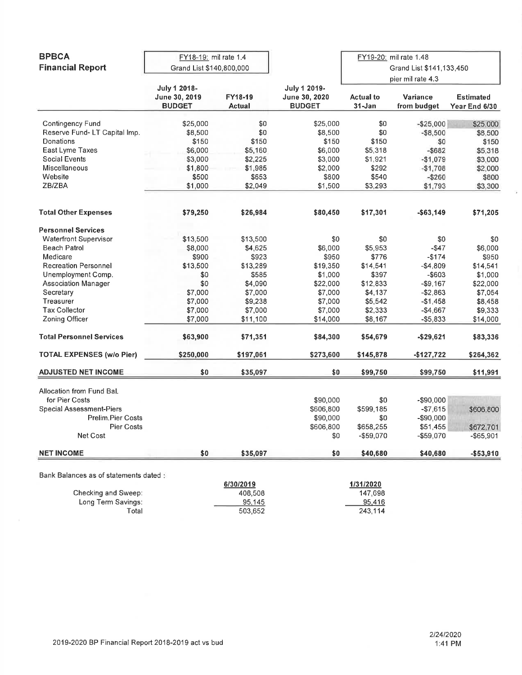| <b>BPBCA</b>                           | FY18-19: mil rate 1.4<br>Grand List \$140,800,000     |                          |                                                | FY19-20; mil rate 1.48<br>Grand List \$141,133,450 |                         |                                   |
|----------------------------------------|-------------------------------------------------------|--------------------------|------------------------------------------------|----------------------------------------------------|-------------------------|-----------------------------------|
| <b>Financial Report</b>                |                                                       |                          |                                                |                                                    |                         |                                   |
|                                        |                                                       |                          |                                                | pier mil rate 4.3                                  |                         |                                   |
|                                        | <b>July 1 2018-</b><br>June 30, 2019<br><b>BUDGET</b> | FY18-19<br><b>Actual</b> | July 1 2019-<br>June 30, 2020<br><b>BUDGET</b> | <b>Actual to</b><br>$31 - Jan$                     | Variance<br>from budget | <b>Estimated</b><br>Year End 6/30 |
|                                        |                                                       |                          |                                                |                                                    |                         |                                   |
| <b>Contingency Fund</b>                | \$25,000                                              | \$0                      | \$25,000                                       | \$0                                                | $- $25,000$             | \$25,000                          |
| Reserve Fund-LT Capital Imp.           | \$8,500                                               | \$0                      | \$8,500                                        | \$0                                                | $-$8,500$               | \$8,500                           |
| Donations                              | \$150                                                 | \$150                    | \$150                                          | \$150                                              | \$0                     | \$150                             |
| East Lyme Taxes                        | \$6,000                                               | \$5,160                  | \$6,000                                        | \$5,318                                            | $-$ \$682               | \$5,318                           |
| Social Events                          | \$3,000                                               | \$2,225                  | \$3,000                                        | \$1,921                                            | $-$1,079$               | \$3,000                           |
| Miscellaneous                          | \$1,800                                               | \$1,985                  | \$2,000                                        | \$292                                              | $-$1,708$               | \$2,000                           |
| Website                                | \$500                                                 | \$653                    | \$800                                          | \$540                                              | $- $260$                | \$800                             |
| ZB/ZBA                                 | \$1,000                                               | \$2,049                  | \$1,500                                        | \$3,293                                            | \$1,793                 | \$3,300                           |
| <b>Total Other Expenses</b>            | \$79,250                                              | \$26,984                 | \$80,450                                       | \$17,301                                           | $- $63,149$             | \$71,205                          |
| <b>Personnel Services</b>              |                                                       |                          |                                                |                                                    |                         |                                   |
| <b>Waterfront Supervisor</b>           | \$13,500                                              | \$13,500                 | \$0                                            | \$0                                                | \$0                     | \$0                               |
| <b>Beach Patrol</b>                    | \$8,000                                               | \$4,625                  | \$6,000                                        | \$5,953                                            | $-$ \$47                | \$6,000                           |
| Medicare                               | \$900                                                 | \$923                    | \$950                                          | \$776                                              | $-$174$                 |                                   |
|                                        |                                                       |                          |                                                |                                                    |                         | \$950                             |
| <b>Recreation Personnel</b>            | \$13,500                                              | \$13,289                 | \$19,350                                       | \$14,541                                           | $-$4,809$               | \$14,541                          |
| Unemployment Comp.                     | \$0                                                   | \$585                    | \$1,000                                        | \$397                                              | $-$ \$603               | \$1,000                           |
| <b>Association Manager</b>             | \$0                                                   | \$4,090                  | \$22,000                                       | \$12,833                                           | $- $9,167$              | \$22,000                          |
| Secretary                              | \$7,000                                               | \$7,000                  | \$7,000                                        | \$4,137                                            | $- $2,863$              | \$7,054                           |
| Treasurer                              | \$7,000                                               | \$9,238                  | \$7,000                                        | \$5,542                                            | $-$1,458$               | \$8,458                           |
| <b>Tax Collector</b>                   | \$7,000                                               | \$7,000                  | \$7,000                                        | \$2,333                                            | -\$4,667                | \$9,333                           |
| Zoning Officer                         | \$7,000                                               | \$11,100                 | \$14,000                                       | \$8,167                                            | $-$5,833$               | \$14,000                          |
| <b>Total Personnel Services</b>        | \$63,900                                              | \$71,351                 | \$84,300                                       | \$54,679                                           | -\$29,621               | \$83,336                          |
| <b>TOTAL EXPENSES (w/o Pier)</b>       | \$250,000                                             | \$197,061                | \$273,600                                      | \$145,878                                          | $-$127,722$             | \$264,362                         |
| <b>ADJUSTED NET INCOME</b>             | \$0                                                   | \$35,097                 | \$0                                            | \$99,750                                           | \$99,750                | \$11,991                          |
| Allocation from Fund Bal.              |                                                       |                          |                                                |                                                    |                         |                                   |
| for Pier Costs                         |                                                       |                          | \$90,000                                       | \$0                                                | $-$90,000$              |                                   |
| <b>Special Assessment-Piers</b>        |                                                       |                          | \$606,800                                      | \$599,185                                          | $- $7,615$              | \$606,800                         |
| Prelim.Pier Costs                      |                                                       |                          | \$90,000                                       | \$0                                                | -\$90,000               |                                   |
| Pier Costs                             |                                                       |                          | \$606,800                                      | \$658,255                                          | \$51,455                | \$672,701                         |
| Net Cost                               |                                                       |                          | \$0                                            | -\$59,070                                          | $-$59,070$              | $-$65,901$                        |
| <b>NET INCOME</b>                      | \$0                                                   | \$35,097                 | \$0                                            | \$40,680                                           | \$40,680                | $- $53,910$                       |
|                                        |                                                       |                          |                                                |                                                    |                         |                                   |
| Bank Balances as of statements dated : |                                                       | 6/30/2019                |                                                | 1/31/2020                                          |                         |                                   |
| Checking and Sweep:                    |                                                       | 408,508                  |                                                | 147,698                                            |                         |                                   |
|                                        |                                                       |                          |                                                |                                                    |                         |                                   |
| Long Term Savings:                     |                                                       | 95,145                   |                                                | 95,416                                             |                         |                                   |
| Total                                  |                                                       | 503,652                  |                                                | 243,114                                            |                         |                                   |

 $\tilde{\omega}$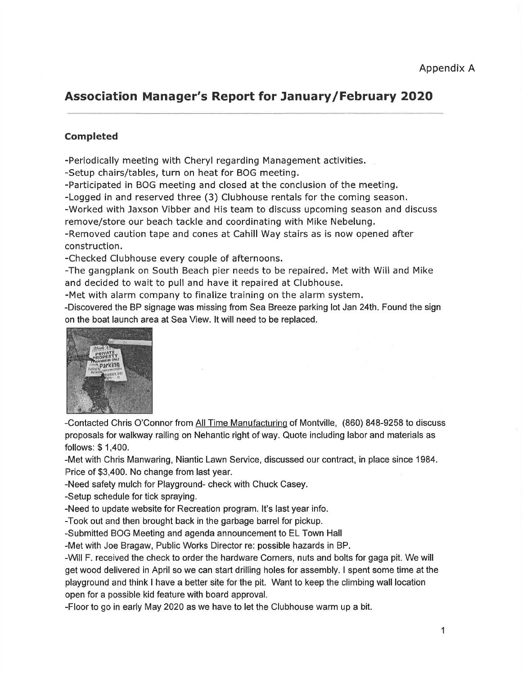# Association Manager's Report for January/February 2O2O

## Completed

-Periodically meeting with Cheryl regarding Management activities.

-Setup chairs/tables, turn on heat for BOG meeting.

-Participated in BOG meeting and closed at the conclusion of the meeting.

-Logged in and reserved three (3) Clubhouse rentals for the coming season.

-Worked with Jaxson Vibber and His team to discuss upcoming season and discuss remove/store our beach tackle and coordinating with Mike Nebelung.

-Removed caution tape and cones at Cahill Way stairs as is now opened after construction.

-Checked Clubhouse every couple of afternoons.

-The gangplank on South Beach pier needs to be repaired. Met with Will and Mike and decided to wait to pull and have it repaired at Clubhouse.

-Met with alarm company to finalize training on the alarm system.

-Discovered the BP signage was missing from Sea Breeze parking lot Jan 24th. Found the sign on the boat launch area at Sea View. lt will need to be replaced.



-Contacted Chris O'Connor from All Time Manufacturing of Montville, (860) 848-9258 to discuss proposals for walkway railing on Nehantic right of way. Quote including labor and materials as follows: \$ 1,400.

-Met with Chris Manwaring, Niantic Lawn Service, discussed our contract, in place since 1984. Price of \$3,400. No change from last year.

-Need safety mulch for Playground- check with Chuck Casey.

-Setup schedule for tick spraying.

-Need to update website for Recreation program. lt's last year info.

-Took out and then brought back in the garbage barrel for pickup.

-Submitted BOG Meeting and agenda announcement to EL Town Hall

-Met with Joe Bragaw, Public Works Director re: possible hazards in BP.

-Will F. received'the check to order the hardware Corners, nuts and bolts for gaga pit. We will get wood delivered in April so we can start drilling holes for assembly. I spent some time at the playground and think I have a better site for the pit. Want to keep the climbing wall location open for a possible kid feature with board approval.

-Floor to go in early May 2020 as we have to let the Clubhouse warm up a bit.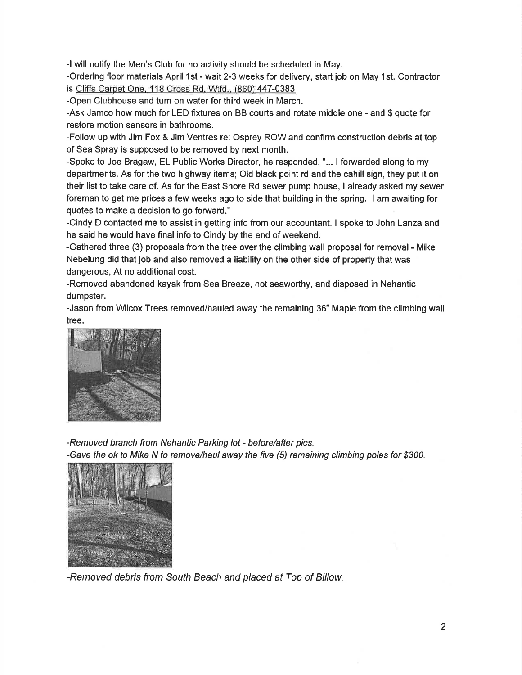-l will notify the Men's Club for no activity should be scheduled in May.

-Ordering floor materials April 1st - wait 2-3 weeks for delivery, start job on May 1st. Contractor is Cliffs Carpet One. 1 18 Cross Rd. Wtfd.. (860) 447-0383

-Open Clubhouse and turn on water for third week in March.

-Ask Jamco how much for LED fixtures on BB courts and rotate middle one - and \$ quote for restore motion sensors in bathrooms.

-Follow up with Jim Fox & Jim Ventres re: Osprey ROW and confirm construction debris at top of Sea Spray is supposed to be removed by next month.

-Spoke to Joe Bragaw, EL Public Works Director, he responded, "... I forwarded along to my departments. As for the two highway items; Old black point rd and the cahill sign, they put it on their list to take care of. As for the East Shore Rd sewer pump house, I already asked my sewer foreman to get me prices a few weeks ago to side that building in the spring. I am awaiting for quotes to make a decision to go forward."

-Cindy D contacted me to assist in getting info from our accountant. I spoke to John Lanza and he said he would have final info to Cindy by the end of weekend.

-Gathered three (3) proposals from the tree over the climbing wall proposal for removal - Mike Nebelung did that job and also removed a liability on the other side of property that was dangerous, At no additional cost.

-Removed abandoned kayak from Sea Breeze, not seaworthy, and disposed in Nehantic dumpster.

-Jason from Wilcox Trees removed/hauled away the remaining 36" Maple from the climbing wall tree.



-Removed branch from Nehantic Parking lot - before/after pics. -Gave the ok to Mike N to remove/haul away the five (5) remaining climbing poles for \$300.



-Removed debris from South Beach and placed at Top of Billow.